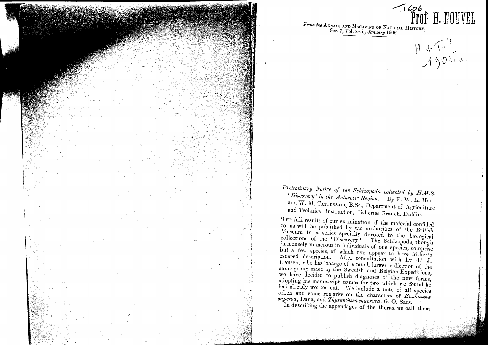

PROFR<sub>1</sub> HO UVEL *From the* ANNALS AND MAGAZINE OF NATURAL HI<sup>T</sup> Ser. 7, Yo1.xvii., *January* 1906.

 $H^4$  of  $\Lambda^0$ 

**-41** *bO/;*

*Preliminary Notice of tlte Scltizopoda collected by H.M.S.* <sup>f</sup>*Discovery' in the Antarctic Region.* By E. and W. M. TATTERSALL, B.Sc., Department of Agriculture and Technical Instruction, Fisheries Branch, Dublin.

THE full results of our examination of the material confided to us will be published by the authorities of the British Museum in a series specially devoted to the biological collections of the 'Discovery.' The Schizopoda, though immensely numerous in individuals of one species, comprise but a few species, of which five appear to have hitherto escaped description. After consultation with Dr. H. J. Hansen, who has charge of a much larger collection of the same group made by the Swedish and Belgian Expeditions, we have decided to publish diagnoses of the new forms, adopting his manuscript names for two which we found he had already worked out. We include a note of all species taken and some remarks on the characters of *Euphausia*  $superba,$  Dana, and *Thysanoessa macrura*, G. O. Sars.

In describing the appendages of the thorax we call them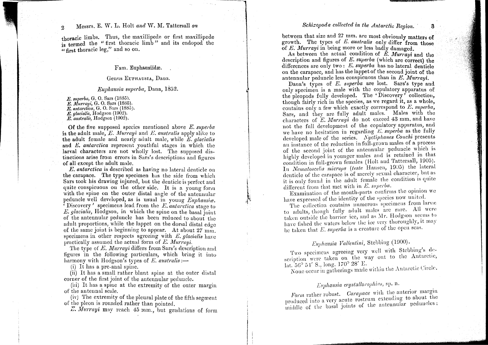## 2 Messrs. E. W. L. Holt and W. M. Tattersall on *Schizopoda collected in the Antarctic Region*. 3

thoracic limbs. Thus, the maxillipede or first maxillipede is termed the "first thoracic limb" and its endopod the  $\epsilon$  first thoracic leg," and so on.

#### Fam. Euphausiidæ.

#### Genus EUPHAUSIA, Dana.

#### *Euphausia sllpei'ba,* Dana, 1852.

*E. sllperba,*G. O. Sars (1885). *E. MU17'ayi,*G. O. Sars (1885). *E. antarctica*, G. O. Sars (1885). *E. glacialis,* Hodgson (1902). *E. australis*, Hodgson (1902).

Of the five supposed species mentioned above *E. superba* is the adult male, *E. Murrayi* and *E. australis* apply alike to the adult female and nearly adult male, while *E. glacialis* and *E. antarctica* represent youthful stages in which the larval characters are not wholly lost. The supposed distinctions arise from errors in Sars's descriptions and figures *of* all except the adult male.

1

I I ~ ~ l'

*E. antarctica* is described as having no lateral denticle on the carapace. The type specimen has the side from which Sars took his drawing injured, but the denticle is perfect and quite conspicuous on the other side. It is a voung form with the spine on the outer distal angle of the antennular peduncle well developed, as is usual in young *Euphausia*. peduncte went developed, as is usual in young *Luphausia*.<br>CDiscovery' specimens lead from the *E. antarctica* stage to *E. glacialis,* Hodgson, in which the spine on the basal join t of the antennular peduncle has been reduced *to* about the adult proportions, while the lappet on the dorsal distal edge of the same joint is beginning to appear. At about 27 mm. specimens in other respects agreeing with  $E$ , *glacialis* have practically assumed the actual form of *E. Murrayi.* 

The type of *E. Murrayi* differs from Sars's description and figures in the fo11owing particulars, which bring it into harmony with Hodgson's types of  $E$ , *australis* :—

(i) It has a pre-anal spine.

(ii) It has a small rather blunt spine at the outer distal corner of the first joint of the antennular peduncle.

(iii) It has a spine at the extremity of the outer margin of the antennal scale.

(iv) The extremity of the pleural plate of the fifth segment of the pleon is rounded rather than pointed.

Z. *lVIurrayi* may reach 45 mm., but gradations or form

between that size and  $27$  mm. are most obviously matters of growth. The types of *E. australzs* only differ from those of *E. Murrayi* in being more or less badly damaged.

As between the actual condition of *E. Murrayi* and the description and figures of  $E$ .  $\textit{superba}$  (which are correct) the differences are only two: *E. superba* has no lateral denticle on the carapace, and has the lappet of the second joint of the antennular peduncle less conspicuous than in *E. Murrayi.* 

Dana's types of *E. superba* are lost. Sars's *type* and only specimen is a male with the copulatory apparatus oE the pleopods fully developed. The 'Discovery' collection. though fairly rich in the species, as we regard it, as a whole, contains only a few which exactly correspond *to E. superba,* Sars, and they are fully adult males. Males with the characters of *E. Murrayi* do not exceed 43 mm, and have not the full development of the copulatory apparatus, and we have no hesitation in regarding *E. superba* as the fully developed male of the series. *Nyctiphanes Couchi* presents an instance of the reduction in full-grown males of a process or the second joint of the antennular peduncle which is highly developed in younger males and is retained in that condition in full-grown females (Holt and Tattersall, 1905). In *Nematoscelis microps* (teste Hansen, 1905) the lateral denticle of the carapace is of merely sexual character, but as it is only found in the adult female the condition is quite different from that met with in *IE. supaba.*

Examination of the mouth-parts confirms the opinion we have expressed of the identity of the species now united. have expressed of the identity of the species now dentity

The collection contains numerous specificity home  $\frac{1}{2}$ to adults, though fully adult males are rare. All were taken outside the barrier ice, and as  $\mathrm{Mr}.$  Hodgson seems to have fished the waters below the ice very thoroughly, it may be taken that *E. superba* is a creature of the open seas.

## *Euphausia Valfentini,* Stebbing (1900).

Two specimens agreeing very well with Stebbing's description were taken on the way out to the Antarctic, lat.  $56^{\circ}$  5<sup>1</sup>' S., long.  $170^{\circ}$  28' E. lat.  $56^{\circ}$  51' S., long.  $1/0^{\circ}$  20' E.

None occur in gatherings made within the Antarctic Crient

## *Ellphausia crystallorophias,* sp. n.

*Form* rather robust. *Carapace* with the anterior margin produced into a very acute rostrum extending to about the iniddle of the basal joints of the antennular peduncles;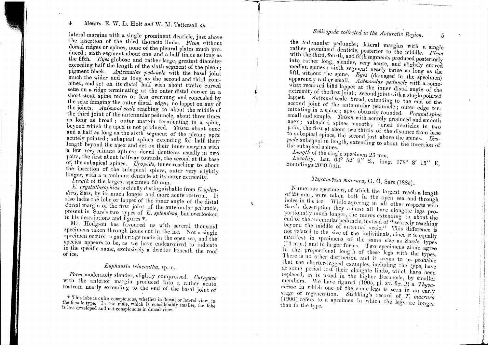## 4, l\1essrs. E. W. L. Holt *and* W. l\I. Tattersall *on*

lateral margins with a single prominent denticle just above the insertign of the third thoracic limbs. *Pleon* without dorsal ridges or spines, none of the pleural plates much produced; sixth segment about one and a half times as long as the fifth. *Eyes* globose and rather large, greatest diameter  $e^{\frac{1}{2}x}$  exceeding half the length of the sixth segment of the pleon; pigment black. *Antennular peduncle* with the basal joint much the wider and as long as the second and third combined, and set on its distal half with about twelve curved set  $x$  on a ridge terminating at the outer distal corner in a short stout spine more or less overhung and concealed by the setæ fringing the outer distal edge; no lappet on any of the joints. *Antennal scale* reaching to about the middle of the third joint of the antennular peduncle, about three times as long as broad; outer margin terminating in a spine beyond which the apex is not produced. *Telson* about once and a half as long as the sixth segment of the pleon; apex acutely pointed; subapical spines extending for half their length beyond the apex and set on their inner margins with a few very minute spines; dorsal denticles usually in two pairs, the first about halfway towards, the second at the base of, the subapical spines. *Uropods*, inner reaching to about the insertion of the subapical spines, outer very slightly longer, with a prominent denticle at its outer extremity

Length of the largest specimen 30 mm.

*E.* crystalloroyhuas is chiefly distinguishable from *E. splen*dens, Sars, by its much longer and more acute rostrum. It also lacks the lobe or lappet of the inncr angle of the distal corsal margin of the first joint of the antennular peduncle, present in Sars's two types of *E. splendens*, but overlooked in bis descriptions and figures \*.

If we determine the discriming the second thousand the Mr. Hodgson has favoured us with several thousand specimens taken through holes cut in the ice. Not a single specimen occurs in gatherings made in the open sea, and the species appears to be, as  $w \in$  have endeavoured to indicate in the specific name, exclusively a dweller beneath the world of ice.

## $Euphausia\ triacantha$ , sp. n.

*Form* moderately slender, slightly compressed. *Carapace* with the anterior margin produced into a rather  $\frac{a}{2}$ rostrum nearly extending to the end of the basal joint of

\* This lobe is quite conspicuous, whether in dorsal or lateral view, in. the female type. In the male, which is considerably smaller, the lobe is less developed and not conspicuous in dorsal view.

# *Sc1zi::op:Jdacollected in the Antarctic Region.*

 $\tilde{o}$ 

III PARTICIPALES<br>I

,!**Illustration** 

~J!IiI

I~iII!~~

*j* a........

 $\alpha$  the antennular peduncle; lateral margins with  $\alpha$ rather prominent denticle, posterior to the middle. *Pleon* with the third, fourth, and fifth segments produced posteriorly into rather long, slender, very acute, and slightly curved median spines; sixth segment nearly twice as long as the fifth without the spine. *Eyps* (damaged in the specimen) apparently rather small. *Antennular peduncle* with <sup>a</sup> some what recurved bifid lappet at the inner distal angle of the extremity of the first joint; second joint with angle of the lappet. *Antennal* scale broad, ortending to a single pointer lappet. Antennal scale broad, extending to the end of the second joint of the antennular peduncle; outer edge terminating in a spine; apex obtusely rounded. *Platter* edge ter small and simple.  $T_{clean}$  with a number  $P^{\text{read}}$  spin small and simple. Telson with acutely produced and smooth apex; subapical spines smooth; dorsal denticles in two pairs, the first at about two thirds of the distance  $\frac{1}{2}$  two to subapical spines, the second just above the spines. to subapical spines, the second just above the spines. Uro-<br>*pods* subequal in length, extending to about the insertion of the subapical spines.

*Length* of the single specimen 23 mm.

1 f

t

 $\mathcal{A}^{\mathcal{R}}_{\mathcal{P}}$ 

'i

*Locality.* Lat.  $66^\circ$  52' 9" S., long. 178° 8' 15" E. Soundings 2030 fath.

## *Thysanoëssa macrura*, G. O. Sars (1885).

Numerous specimens, of which the largest reaches of 28 mm., were taken both in the open sea and through holes in the ice. While agreeing in all other respects with Sars's description they almost all have elongate legs proportionally much longer, the merus extending to about the end of the antennular peduncle, instead of " scarcely reaching beyond the middle of antennal scale.<sup>27</sup> rules when not related to the size of the individuals, since it is equally manifest in specimens of the same size as Sars's types  $(13 \text{ mm.})$  and in larger forms. Two specimens alone agree in the proportional leng h of these legs with the types. There is no other distinction and it seems to us probable that the shorter-legged examples, including the type, have at some period lost their clongate limbs, which have been replaced, as is usual in the higher Decapoda, by smaller members. We have figured  $(1905, p)$   $\frac{1}{2}$   $\frac{1}{2}$   $\frac{1}{2}$   $\frac{1}{2}$   $\frac{1}{2}$   $\frac{1}{2}$   $\frac{1}{2}$ *luvessa* in which one of the same legs is seen in an early stage of regeneration. Stebbing's record of *T. macrura*  $(1900)$  refers to a specimen in which the left. *macru* than in the type.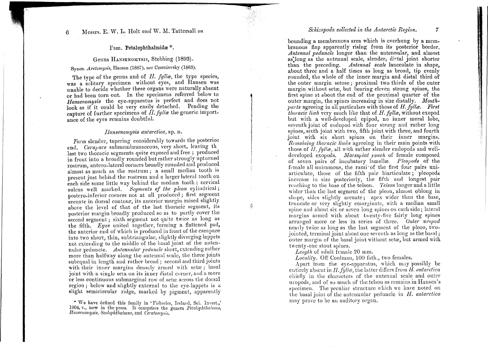#### Fam. Petalophthalmidæ\*.

#### Genus HANSENOMYSIS, Stebbing (1893).

### Synon. *Arctomysis*, Hansen (1887), nec Czerniavsky (1883).

The type of the genus and of *H. fyllæ*, the type species, was a solitary specimen without eyes, and Hansen was unable to decide whether these organs were naturally absent or had been torn out. In tbe specimens referred below to *Hansenornysis* the eye-apparatus is perfect and does not look as if it could be very easily detached. Pending the capture of further specimens of *II. fylla* the generic importance of the eyes remains doubtful.

t

itheachanachas<br>I

j

.,1

#### *Ilansenomysis antarctica,* sp. n.

*Form* slender, tapering considerably towards the posterioe end. *Carapace* submembranaceous, very short, leaving th last two thoracic segments quite exposed and free; produced in front into a broadly rounded but rather strongly upturn rostrum, antero-1ateral corners broadly rounded and produced almost as much as the rostrum; a smal1 median tooth is present just behind the rostrum and a larger lateral tooth on each side some little way behind the median tooth; cervical sulcus well marked. *Segments of the pleon* cylindrical; postero-inferior corners not at all produced; first segment arcuate in dorsal contour, its anterior margin raised slightly above the level of that of the last thoracic segment, its posterior margin broadly produced so as to partly cover the second segment; sixth segment not quite twice as long as the fifth. *Eyes* united together, forming a flattened pad, the anterior end of which is produced in front of the carapace into two short, thin, subtriangular, slightly diverging lappets not extending to the middle of the basal joint of the antennular peduncle. *Antennular peduncle* short, extending rather more than halfway along the antennal scale, the three joints subequal in length and rather broad; second and third joints with their inner margins densely armed with setae; basal with their inner margins densely armed with setae, based or less continuous submarginal row of setæ across the dorsal region; below and slightly external to the eye-lappets is a slight semicircular ridge, marked by pigment, apparently

\* We have defined this family in 'Fisheries, Ireland, Sci. Invest.,' . *][ansellomysls, 8colophtllalmus,* and *Ceratomysis.* 1904, v., now in the press. It comprises the genera *Petalophthalnus*,

#### *Schizopoda collected in the Antarctic Region.*

7

I1I~I10~I~

;,i :1

bounding a membranous area which is overhung by a membranous flap apparently rising from its posterior border. *Antennal peduncle* longer than the antennular, and almost as<sup>t</sup>long as the antennal scale, slender, dietal joint shorter than the preceding. *Antennal scale* lanceolate in shape, about three and a half times as long as broad, tip evenly rounded, the whole of the inner margin and distal third of the outer margin setose; proximal two thirds of the outer margin without setæ, but bearing eleven strong spines, the first spine at about the end of the proximal quarter of the outer margin, the spines increasing in size distally. *Mouthparts* agreeing in all particulars with those of *H. fyllæ. First thoracic limb* very much like that of *H. fyllæ*, without exopod but with a well-developed epipod, no inner meral lobe, seventh joint of endopod with four strong and rather long spines, sixth joint with two, fifth joint with three, and fourth joint with six short spines on their inner margins.  $Remaining thoracic links$  agreeing in their main points with those of *H. fyllæ*, all with rather slender endopods and welldeveloped exopods. Marsupial pouch of female composed of seven pairs of incubatory lamellæ. *Pleopods* of the female all uniramous, the rami' of the first four pairs uniarticulate, those of the fifth pair biarticulate; pleopods increase in size posteriorly, the fifth and longest pair reaching to the base of the telson. *Telson* longer and a little wider than the last segment of the pleon, almost oblong in shape, sides slightly arcuate; apex wider than the base, truncate or very slightly emarginate, with a median small spine and about six or seven long spines on each side; lateral margins armed with about twenty-five fairly long spines arranged more or less in series of three. *Outer uropod* nearly twice as long as the last segment of the pleon, twojointed, terminal joint about one seventh as long as the basal; outer margin of the basal joint without setæ, but armed with twenty-one stout spines.

*Length* of adult female 20 mm.

Locality. Off Coulman, 100 fath., two females.

Apart from the eye-apparatus, which may possibly be entirely absent in  $H$ ,  $fylle$ , the latter differs from  $H$ , antarctica cbiefly in the characters of the antenual scale and outer uropods, and of so much of the telson as remains in Hansen's specimen. The peculiar structure which we have noted on the basal joint of the antennular peduncle in *H. antarctica* may prove to be an auditory organ.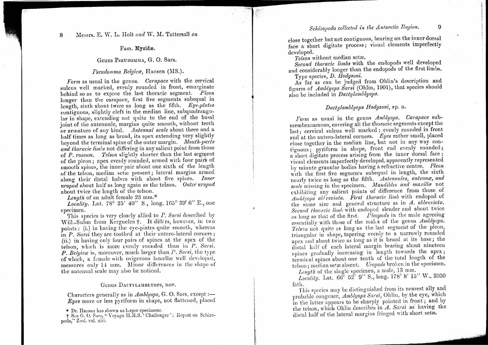#### Fam. Mysidæ.

#### Genus PSEUDOMMA, G. O. Sars.

#### Pseudomma Belgica, Hansen (MS.).

Form as usual in the genus. Carapace with the cervical sulcus well marked, evenly rounded in front, emarginate behind so as to expose the last thoracic segment. Pleon longer than the carapace, first five segments subequal in length, sixth about twice as long as the fifth. Eye-plates contiguous, slightly cleft in the median line, subquadrangular in shape, extending not quite to the end of the basal joint of the antennule, margins quite smooth, without teeth or armature of any kind. Antennal scale about three and a half times as long as broad, its apex extending very slightly beyond the terminal spine of the outer margin. Mouth-parts and thoracic limbs not differing in any salient point from those of P. roseum. Telson slightly shorter than the last segment of the pleon; apex evenly rounded, armed with four pairs of smooth spines, the inner pair about one sixth of the length of the telson, median setie present; lateral margins armed along their distal halves with about five spines. Inner uropod about half as long again as the telson. Outer uropod about twice the length of the telson.

*Length* of an adult female 23 mm.<sup>\*</sup>

*Locality.* Lat. 78° 25' 40" S., long. 165° 39' 6" E., one specimen.

This species is very closely allied to P. Sarsi described by Will.-Suhm from Kerguelen +. It differs, however, in two points: (i.) in having the eye-plates quite smooth, whereas in  $P$ . Sarsi they are toothed at their antero-lateral corners; (ii.) in having only four pairs of spines at the apex of the telson, which is more evenly rounded than in P. Sarsi. P. Belgica is, moreover, much larger than P. Sarsi, the type of which, a female with ovigerous lamellæ well developed, measures only 14 mm. Minor differences in the shape of the antennal scale may also be noticed.

#### Genus DACTYLAMBLYOPS, nov.

Characters generally as in  $Amblyops$ , G.O. Sars, except :-Eyes more or less pyriform in shape, not flattened, placed

\* Dr. Hansen has shown us larger specimens.

+ See G. O. Sars, "Voyage H.M.S." Challenger': Report on Schizopoda," Zool. vol. xiii.

## Schizopoda collected in the Antarctic Region.

 $\Omega$ 

close together but not contiguous, bearing on the inner dorsal face a short digitate process; visual elements imperfectly developed.

Telson without median setæ.

Second thoracic limbs with the endopods well developed and considerably longer than the endopods of the first limbs. Type species, D. Hodgsoni.

As far as can be judged from Ohlin's description and figures of Amblyops Sarsi (Ohlin, 1901), that species should also be included in *Dactylamblyops*.

#### Dactulamblyops Hodgsoni, sp. n.

Form as usual in the genus Amblyops. Carapace submembranaceous, covering all the thoracic segments except the last; cervical sulcus well marked; evenly rounded in front and at the antero-lateral corners. Eyes rather small, placed close together in the median line, but not in any way contiguous: pyriform in shape, front end evenly rounded: a short digitate process arising from the inner dorsal face: visual elements imperfectly developed, apparently represented by minute granular bodies having a refractive centre. Pleon with the first five segments subequal in length, the sixth nearly twice as long as the fifth. Antennules, antenna, and scale missing in the specimen. Mandibles and maxilla not exhibiting any salient points of difference from those of Amblyops abl reviata. First thoracic limb with endopod of the same size and general structure as in  $A$ . abbreviata. Second thoracic limb with endopod slender and about twice as long as that of the first.  $P$ leopods in the male agreeing essentially with those of the males of the genus Amblyops. Telson not quite as long as the last segment of the pleon, triangular in shape, tapering evenly to a narrowly rounded apex and about twice as long as it is broad at its base; the distal half of each lateral margin bearing about nineteen spines gradually increasing in length towards the apex; terminal spines about one tenth of the total length of the telson; median setæ absent. *Uropods* broken in the specimen. Length of the single specimen, a male, 13 mm.

Locality. Lat. 66° 52' 9" S., long. 178° 8' 15" W., 2030 fath.

This species may be distinguished from its nearest ally and probable congener, Amblyops Sarsi, Ohlin, by the eye, which in the latter appears to be sharply pointed in front; and by the telson, which Ohlin describes in A. Sarsi as having the distal half of the lateral margins fringed with short sete.